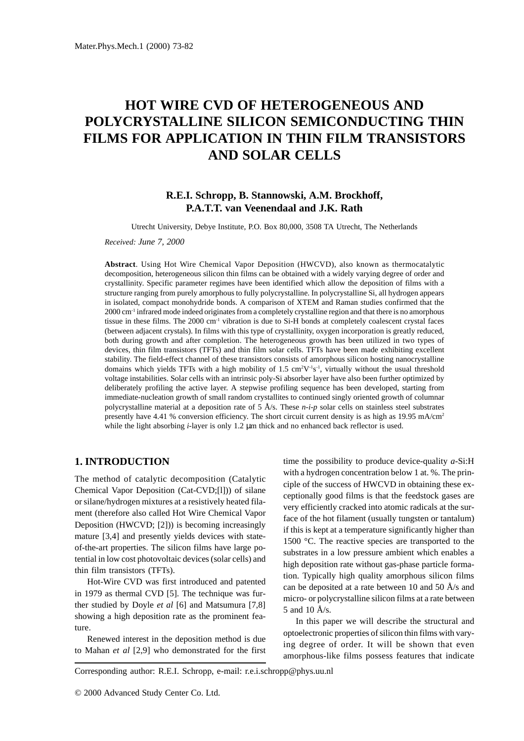# **HOT WIRE CVD OF HETEROGENEOUS AND POLYCRYSTALLINE SILICON SEMICONDUCTING THIN FILMS FOR APPLICATION IN THIN FILM TRANSISTORS AND SOLAR CELLS**

# **R.E.I. Schropp, B. Stannowski, A.M. Brockhoff, P.A.T.T. van Veenendaal and J.K. Rath**

Utrecht University, Debye Institute, P.O. Box 80,000, 3508 TA Utrecht, The Netherlands

*Received: June 7, 2000*

**Abstract**. Using Hot Wire Chemical Vapor Deposition (HWCVD), also known as thermocatalytic decomposition, heterogeneous silicon thin films can be obtained with a widely varying degree of order and crystallinity. Specific parameter regimes have been identified which allow the deposition of films with a structure ranging from purely amorphous to fully polycrystalline. In polycrystalline Si, all hydrogen appears in isolated, compact monohydride bonds. A comparison of XTEM and Raman studies confirmed that the 2000 cm-1 infrared mode indeed originates from a completely crystalline region and that there is no amorphous tissue in these films. The 2000 cm-1 vibration is due to Si-H bonds at completely coalescent crystal faces (between adjacent crystals). In films with this type of crystallinity, oxygen incorporation is greatly reduced, both during growth and after completion. The heterogeneous growth has been utilized in two types of devices, thin film transistors (TFTs) and thin film solar cells. TFTs have been made exhibiting excellent stability. The field-effect channel of these transistors consists of amorphous silicon hosting nanocrystalline domains which yields TFTs with a high mobility of  $1.5 \text{ cm}^2 \text{V}^{-1} \text{s}^{-1}$ , virtually without the usual threshold voltage instabilities. Solar cells with an intrinsic poly-Si absorber layer have also been further optimized by deliberately profiling the active layer. A stepwise profiling sequence has been developed, starting from immediate-nucleation growth of small random crystallites to continued singly oriented growth of columnar polycrystalline material at a deposition rate of 5 Å/s. These *n-i-p* solar cells on stainless steel substrates presently have 4.41 % conversion efficiency. The short circuit current density is as high as 19.95 mA/cm<sup>2</sup> while the light absorbing *i*-layer is only 1.2  $\mu$ m thick and no enhanced back reflector is used.

## **1. INTRODUCTION**

The method of catalytic decomposition (Catalytic Chemical Vapor Deposition (Cat-CVD;[l])) of silane or silane/hydrogen mixtures at a resistively heated filament (therefore also called Hot Wire Chemical Vapor Deposition (HWCVD; [2])) is becoming increasingly mature [3,4] and presently yields devices with stateof-the-art properties. The silicon films have large potential in low cost photovoltaic devices (solar cells) and thin film transistors (TFTs).

Hot-Wire CVD was first introduced and patented in 1979 as thermal CVD [5]. The technique was further studied by Doyle *et al* [6] and Matsumura [7,8] showing a high deposition rate as the prominent feature.

Renewed interest in the deposition method is due to Mahan *et al* [2,9] who demonstrated for the first time the possibility to produce device-quality *a*-Si:H with a hydrogen concentration below 1 at. %. The principle of the success of HWCVD in obtaining these exceptionally good films is that the feedstock gases are very efficiently cracked into atomic radicals at the surface of the hot filament (usually tungsten or tantalum) if this is kept at a temperature significantly higher than 1500 °C. The reactive species are transported to the substrates in a low pressure ambient which enables a high deposition rate without gas-phase particle formation. Typically high quality amorphous silicon films can be deposited at a rate between 10 and 50  $A/s$  and micro- or polycrystalline silicon films at a rate between 5 and 10 Å/s.

In this paper we will describe the structural and optoelectronic properties of silicon thin films with varying degree of order. It will be shown that even amorphous-like films possess features that indicate

Corresponding author: R.E.I. Schropp, e-mail: r.e.i.schropp@phys.uu.nl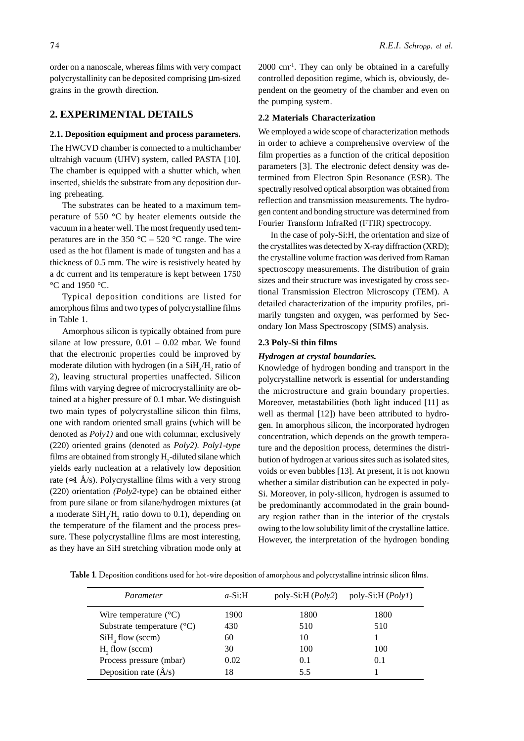order on a nanoscale, whereas films with very compact polycrystallinity can be deposited comprising µm-sized grains in the growth direction.

## **2. EXPERIMENTAL DETAILS**

#### **2.1. Deposition equipment and process parameters.**

The HWCVD chamber is connected to a multichamber ultrahigh vacuum (UHV) system, called PASTA [10]. The chamber is equipped with a shutter which, when inserted, shields the substrate from any deposition during preheating.

The substrates can be heated to a maximum temperature of 550 °C by heater elements outside the vacuum in a heater well. The most frequently used temperatures are in the  $350 \degree C - 520 \degree C$  range. The wire used as the hot filament is made of tungsten and has a thickness of 0.5 mm. The wire is resistively heated by a dc current and its temperature is kept between 1750 °C and 1950 °C.

Typical deposition conditions are listed for amorphous films and two types of polycrystalline films in Table 1.

Amorphous silicon is typically obtained from pure silane at low pressure,  $0.01 - 0.02$  mbar. We found that the electronic properties could be improved by moderate dilution with hydrogen (in a  $\text{SiH}_{4}/\text{H}_{2}$  ratio of 2), leaving structural properties unaffected. Silicon films with varying degree of microcrystallinity are obtained at a higher pressure of 0.1 mbar. We distinguish two main types of polycrystalline silicon thin films, one with random oriented small grains (which will be denoted as *Poly1)* and one with columnar, exclusively (220) oriented grains (denoted as *Poly2). Poly1-type* films are obtained from strongly  $H_2$ -diluted silane which yields early nucleation at a relatively low deposition rate (≈1 Å/s). Polycrystalline films with a very strong (220) orientation *(Poly2-*type) can be obtained either from pure silane or from silane/hydrogen mixtures (at a moderate  $SiH_4/H_2$  ratio down to 0.1), depending on the temperature of the filament and the process pressure. These polycrystalline films are most interesting, as they have an SiH stretching vibration mode only at

 $2000 \text{ cm}^{-1}$ . They can only be obtained in a carefully controlled deposition regime, which is, obviously, dependent on the geometry of the chamber and even on the pumping system.

#### **2.2 Materials Characterization**

We employed a wide scope of characterization methods in order to achieve a comprehensive overview of the film properties as a function of the critical deposition parameters [3]. The electronic defect density was determined from Electron Spin Resonance (ESR). The spectrally resolved optical absorption was obtained from reflection and transmission measurements. The hydrogen content and bonding structure was determined from Fourier Transform InfraRed (FTIR) spectrocopy.

In the case of poly-Si:H, the orientation and size of the crystallites was detected by X-ray diffraction (XRD); the crystalline volume fraction was derived from Raman spectroscopy measurements. The distribution of grain sizes and their structure was investigated by cross sectional Transmission Electron Microscopy (TEM). A detailed characterization of the impurity profiles, primarily tungsten and oxygen, was performed by Secondary Ion Mass Spectroscopy (SIMS) analysis.

#### **2.3 Poly-Si thin films**

#### *Hydrogen at crystal boundaries.*

Knowledge of hydrogen bonding and transport in the polycrystalline network is essential for understanding the microstructure and grain boundary properties. Moreover, metastabilities (both light induced [11] as well as thermal [12]) have been attributed to hydrogen. In amorphous silicon, the incorporated hydrogen concentration, which depends on the growth temperature and the deposition process, determines the distribution of hydrogen at various sites such as isolated sites, voids or even bubbles [13]. At present, it is not known whether a similar distribution can be expected in poly-Si. Moreover, in poly-silicon, hydrogen is assumed to be predominantly accommodated in the grain boundary region rather than in the interior of the crystals owing to the low solubility limit of the crystalline lattice. However, the interpretation of the hydrogen bonding

Table 1. Deposition conditions used for hot-wire deposition of amorphous and polycrystalline intrinsic silicon films.

| Parameter                           | $a-Si:H$ | poly-Si:H $(Poly2)$ | poly-Si:H $(PolyI)$ |
|-------------------------------------|----------|---------------------|---------------------|
| Wire temperature $(^{\circ}C)$      | 1900     | 1800                | 1800                |
| Substrate temperature $(^{\circ}C)$ | 430      | 510                 | 510                 |
| $SiH4$ flow (sccm)                  | 60       | 10                  |                     |
| $H2$ flow (sccm)                    | 30       | 100                 | 100                 |
| Process pressure (mbar)             | 0.02     | 0.1                 | 0.1                 |
| Deposition rate $(\AA/s)$           | 18       | 5.5                 |                     |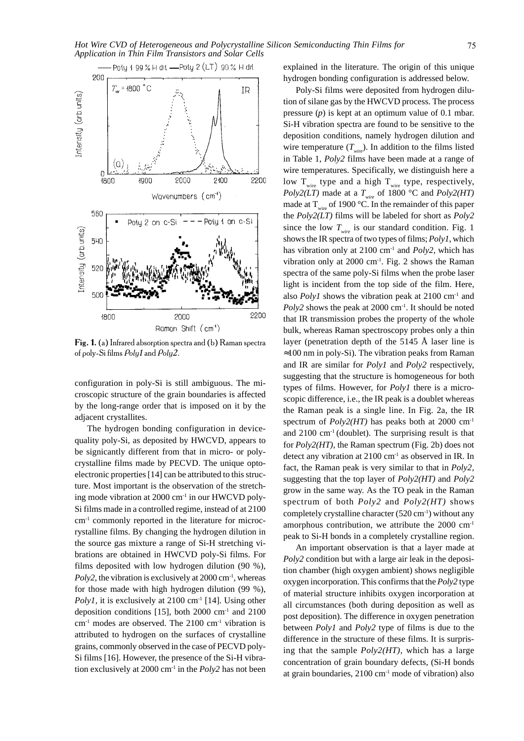

Fig. 1. (a) Infrared absorption spectra and (b) Raman spectra of poly-Si films Poly1 and Poly2.

configuration in poly-Si is still ambiguous. The microscopic structure of the grain boundaries is affected by the long-range order that is imposed on it by the adjacent crystallites.

The hydrogen bonding configuration in devicequality poly-Si, as deposited by HWCVD, appears to be signicantly different from that in micro- or polycrystalline films made by PECVD. The unique optoelectronic properties [14] can be attributed to this structure. Most important is the observation of the stretching mode vibration at 2000 cm-1 in our HWCVD poly-Si films made in a controlled regime, instead of at 2100 cm-1 commonly reported in the literature for microcrystalline films. By changing the hydrogen dilution in the source gas mixture a range of Si-H stretching vibrations are obtained in HWCVD poly-Si films. For films deposited with low hydrogen dilution (90 %), *Poly2*, the vibration is exclusively at  $2000 \text{ cm}^{-1}$ , whereas for those made with high hydrogen dilution (99 %), *Poly1*, it is exclusively at 2100 cm<sup>-1</sup> [14]. Using other deposition conditions [15], both  $2000 \text{ cm}^{-1}$  and  $2100$  $cm<sup>-1</sup>$  modes are observed. The 2100  $cm<sup>-1</sup>$  vibration is attributed to hydrogen on the surfaces of crystalline grains, commonly observed in the case of PECVD poly-Si films [16]. However, the presence of the Si-H vibration exclusively at 2000 cm<sup>-1</sup> in the *Poly2* has not been explained in the literature. The origin of this unique hydrogen bonding configuration is addressed below.

Poly-Si films were deposited from hydrogen dilution of silane gas by the HWCVD process. The process pressure (*p*) is kept at an optimum value of 0.1 mbar. Si-H vibration spectra are found to be sensitive to the deposition conditions, namely hydrogen dilution and wire temperature  $(T_{wire})$ . In addition to the films listed in Table 1, *Poly2* films have been made at a range of wire temperatures. Specifically, we distinguish here a low  $T_{\text{wire}}$  type and a high  $T_{\text{wire}}$  type, respectively, *Poly2(LT)* made at a  $T_{wire}$  of 1800 °C and *Poly2(HT)* made at  $T_{\text{wire}}$  of 1900 °C. In the remainder of this paper the *Poly2(LT)* films will be labeled for short as *Poly2* since the low  $T_{wire}$  is our standard condition. Fig. 1 shows the IR spectra of two types of films; *Poly1*, which has vibration only at 2100 cm-1 and *Poly2,* which has vibration only at  $2000 \text{ cm}^1$ . Fig. 2 shows the Raman spectra of the same poly-Si films when the probe laser light is incident from the top side of the film. Here, also *Poly1* shows the vibration peak at  $2100 \text{ cm}^{-1}$  and *Poly2* shows the peak at  $2000 \text{ cm}^{-1}$ . It should be noted that IR transmission probes the property of the whole bulk, whereas Raman spectroscopy probes only a thin layer (penetration depth of the 5145 Å laser line is  $\approx$ 100 nm in poly-Si). The vibration peaks from Raman and IR are similar for *Poly1* and *Poly2* respectively, suggesting that the structure is homogeneous for both types of films. However, for *Poly1* there is a microscopic difference, i.e., the IR peak is a doublet whereas the Raman peak is a single line. In Fig. 2a, the IR spectrum of *Poly2(HT)* has peaks both at 2000 cm-1 and  $2100 \text{ cm}^{-1}$  (doublet). The surprising result is that for *Poly2(HT),* the Raman spectrum (Fig. 2b) does not detect any vibration at  $2100 \text{ cm}^{-1}$  as observed in IR. In fact, the Raman peak is very similar to that in *Poly2*, suggesting that the top layer of *Poly2(HT)* and *Poly2* grow in the same way. As the TO peak in the Raman spectrum of both *Poly2* and *Poly2(HT)* shows completely crystalline character  $(520 \text{ cm}^{-1})$  without any amorphous contribution, we attribute the 2000 cm-1 peak to Si-H bonds in a completely crystalline region.

An important observation is that a layer made at *Poly2* condition but with a large air leak in the deposition chamber (high oxygen ambient) shows negligible oxygen incorporation. This confirms that the *Poly2* type of material structure inhibits oxygen incorporation at all circumstances (both during deposition as well as post deposition). The difference in oxygen penetration between *Poly1* and *Poly2* type of films is due to the difference in the structure of these films. It is surprising that the sample *Poly2(HT),* which has a large concentration of grain boundary defects, (Si-H bonds at grain boundaries, 2100 cm-1 mode of vibration) also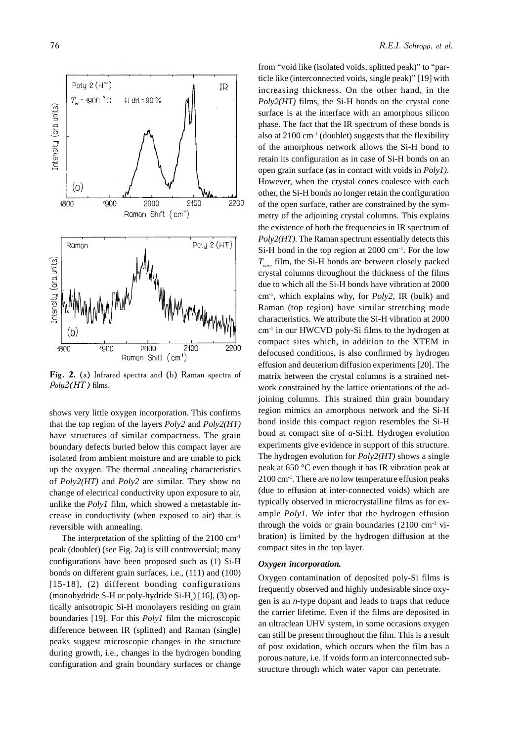

Fig. 2. (a) Infrared spectra and (b) Raman spectra of  $Poly2(HT)$  films.

shows very little oxygen incorporation. This confirms that the top region of the layers *Poly2* and *Poly2(HT)* have structures of similar compactness. The grain boundary defects buried below this compact layer are isolated from ambient moisture and are unable to pick up the oxygen. The thermal annealing characteristics of *Poly2(HT)* and *Poly2* are similar. They show no change of electrical conductivity upon exposure to air, unlike the *Poly1* film, which showed a metastable increase in conductivity (when exposed to air) that is reversible with annealing.

The interpretation of the splitting of the  $2100 \text{ cm}^1$ peak (doublet) (see Fig. 2a) is still controversial; many configurations have been proposed such as (1) Si-H bonds on different grain surfaces, i.e., (111) and (100) [15-18], (2) different bonding configurations (monohydride S-H or poly-hydride Si- $H<sub>x</sub>$ ) [16], (3) optically anisotropic Si-H monolayers residing on grain boundaries [19]. For this *Poly1* film the microscopic difference between IR (splitted) and Raman (single) peaks suggest microscopic changes in the structure during growth, i.e., changes in the hydrogen bonding configuration and grain boundary surfaces or change

from "void like (isolated voids, splitted peak)" to "particle like (interconnected voids, single peak)" [19] with increasing thickness. On the other hand, in the *Poly2(HT)* films, the Si-H bonds on the crystal cone surface is at the interface with an amorphous silicon phase. The fact that the IR spectrum of these bonds is also at  $2100 \text{ cm}^{-1}$  (doublet) suggests that the flexibility of the amorphous network allows the Si-H bond to retain its configuration as in case of Si-H bonds on an open grain surface (as in contact with voids in *Poly1).* However, when the crystal cones coalesce with each other, the Si-H bonds no longer retain the configuration of the open surface, rather are constrained by the symmetry of the adjoining crystal columns. This explains the existence of both the frequencies in IR spectrum of *Poly2(HT).* The Raman spectrum essentially detects this Si-H bond in the top region at 2000 cm<sup>-1</sup>. For the low *Twire* film, the Si-H bonds are between closely packed crystal columns throughout the thickness of the films due to which all the Si-H bonds have vibration at 2000 cm-1, which explains why, for *Poly2,* IR (bulk) and Raman (top region) have similar stretching mode characteristics. We attribute the Si-H vibration at 2000 cm-1 in our HWCVD poly-Si films to the hydrogen at compact sites which, in addition to the XTEM in defocused conditions, is also confirmed by hydrogen effusion and deuterium diffusion experiments [20]. The matrix between the crystal columns is a strained network constrained by the lattice orientations of the adjoining columns. This strained thin grain boundary region mimics an amorphous network and the Si-H bond inside this compact region resembles the Si-H bond at compact site of *a*-Si:H. Hydrogen evolution experiments give evidence in support of this structure. The hydrogen evolution for *Poly2(HT)* shows a single peak at 650 °C even though it has IR vibration peak at  $2100 \text{ cm}^{-1}$ . There are no low temperature effusion peaks (due to effusion at inter-connected voids) which are typically observed in microcrystalline films as for example *Poly1.* We infer that the hydrogen effusion through the voids or grain boundaries  $(2100 \text{ cm}^{-1} \text{ vi-}$ bration) is limited by the hydrogen diffusion at the compact sites in the top layer.

#### *Oxygen incorporation.*

Oxygen contamination of deposited poly-Si films is frequently observed and highly undesirable since oxygen is an *n*-type dopant and leads to traps that reduce the carrier lifetime. Even if the films are deposited in an ultraclean UHV system, in some occasions oxygen can still be present throughout the film. This is a result of post oxidation, which occurs when the film has a porous nature, i.e. if voids form an interconnected substructure through which water vapor can penetrate.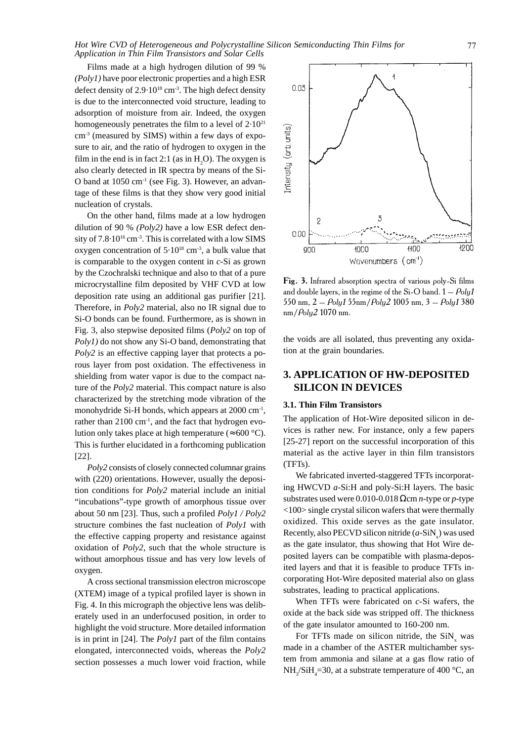Films made at a high hydrogen dilution of 99 % *(Poly1)* have poor electronic properties and a high ESR defect density of  $2.9 \cdot 10^{18}$  cm<sup>-3</sup>. The high defect density is due to the interconnected void structure, leading to adsorption of moisture from air. Indeed, the oxygen homogeneously penetrates the film to a level of  $2.10^{21}$  $cm<sup>3</sup>$  (measured by SIMS) within a few days of exposure to air, and the ratio of hydrogen to oxygen in the film in the end is in fact 2:1 (as in  $H_2O$ ). The oxygen is also clearly detected in IR spectra by means of the Si-O band at 1050 cm-1 (see Fig. 3). However, an advantage of these films is that they show very good initial nucleation of crystals.

On the other hand, films made at a low hydrogen dilution of 90 % *(Poly2)* have a low ESR defect density of 7.8.10<sup>16</sup> cm<sup>-3</sup>. This is correlated with a low SIMS oxygen concentration of  $5.10^{18}$  cm<sup>-3</sup>, a bulk value that is comparable to the oxygen content in *c*-Si as grown by the Czochralski technique and also to that of a pure microcrystalline film deposited by VHF CVD at low deposition rate using an additional gas purifier [21]. Therefore, in *Poly2* material, also no IR signal due to Si-O bonds can be found. Furthermore, as is shown in Fig. 3, also stepwise deposited films (*Poly2* on top of *Poly1)* do not show any Si-O band, demonstrating that *Poly2* is an effective capping layer that protects a porous layer from post oxidation. The effectiveness in shielding from water vapor is due to the compact nature of the *Poly2* material. This compact nature is also characterized by the stretching mode vibration of the monohydride Si-H bonds, which appears at 2000 cm<sup>-1</sup>, rather than  $2100 \text{ cm}^{-1}$ , and the fact that hydrogen evolution only takes place at high temperature ( $\approx 600 \degree C$ ). This is further elucidated in a forthcoming publication [22].

*Poly2* consists of closely connected columnar grains with (220) orientations. However, usually the deposition conditions for *Poly2* material include an initial "incubations"-type growth of amorphous tissue over about 50 nm [23]. Thus, such a profiled *Poly1 / Poly2* structure combines the fast nucleation of *Poly1* with the effective capping property and resistance against oxidation of *Poly2*, such that the whole structure is without amorphous tissue and has very low levels of oxygen.

A cross sectional transmission electron microscope (XTEM) image of a typical profiled layer is shown in Fig. 4. In this micrograph the objective lens was deliberately used in an underfocused position, in order to highlight the void structure. More detailed information is in print in [24]. The *Poly1* part of the film contains elongated, interconnected voids, whereas the *Poly2* section possesses a much lower void fraction, while



Fig. 3. Infrared absorption spectra of various poly-Si films and double layers, in the regime of the Si-O band.  $1 - \rho_{\rm{oly}} t$ 550 nm, 2 –  $Poly1$  55nm/ $Poly2$  1005 nm, 3 –  $Poly1$  380  $nm/Poly2$  1070 nm.

the voids are all isolated, thus preventing any oxidation at the grain boundaries.

# **3. APPLICATION OF HW-DEPOSITED SILICON IN DEVICES**

#### **3.1. Thin Film Transistors**

The application of Hot-Wire deposited silicon in devices is rather new. For instance, only a few papers [25-27] report on the successful incorporation of this material as the active layer in thin film transistors (TFTs).

We fabricated inverted-staggered TFTs incorporating HWCVD *a*-Si:H and poly-Si:H layers. The basic substrates used were 0.010-0.018 Ωcm *n*-type or *p*-type <100> single crystal silicon wafers that were thermally oxidized. This oxide serves as the gate insulator. Recently, also PECVD silicon nitride  $(a-\text{SiN}_x)$  was used as the gate insulator, thus showing that Hot Wire deposited layers can be compatible with plasma-deposited layers and that it is feasible to produce TFTs incorporating Hot-Wire deposited material also on glass substrates, leading to practical applications.

When TFTs were fabricated on *c*-Si wafers, the oxide at the back side was stripped off. The thickness of the gate insulator amounted to 160-200 nm.

For TFTs made on silicon nitride, the  $\text{SiN}_x$  was made in a chamber of the ASTER multichamber system from ammonia and silane at a gas flow ratio of NH<sub>3</sub>/SiH<sub>4</sub>=30, at a substrate temperature of 400 °C, an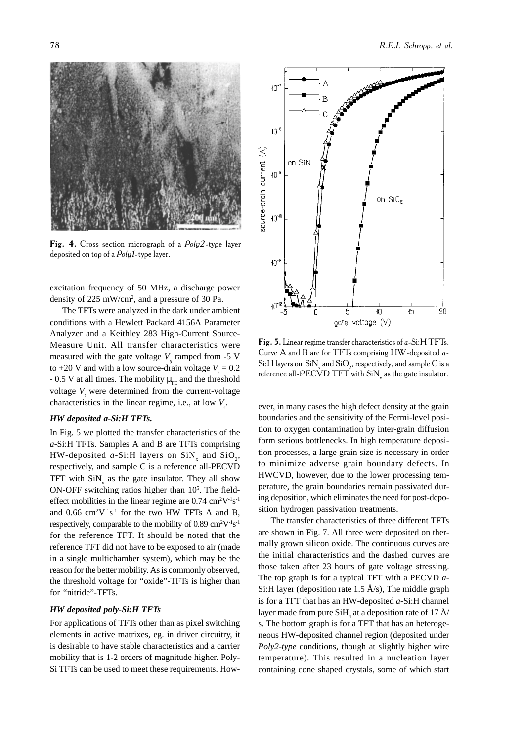

Fig. 4. Cross section micrograph of a  $Poly2$ -type layer deposited on top of a Poly1-type layer.

excitation frequency of 50 MHz, a discharge power density of 225 mW/cm2 , and a pressure of 30 Pa.

The TFTs were analyzed in the dark under ambient conditions with a Hewlett Packard 4156A Parameter Analyzer and a Keithley 283 High-Current Source-Measure Unit. All transfer characteristics were measured with the gate voltage  $V_g$  ramped from -5 V to  $+20$  V and with a low source-drain voltage  $V<sub>s</sub> = 0.2$ - 0.5 V at all times. The mobility  $\mu_{EF}$  and the threshold voltage *V*<sub>,</sub> were determined from the current-voltage characteristics in the linear regime, i.e., at low  $V_s$ .

#### *HW deposited a-Si:H TFTs.*

In Fig. 5 we plotted the transfer characteristics of the *a*-Si:H TFTs. Samples A and B are TFTs comprising HW-deposited  $a$ -Si:H layers on SiN<sub>x</sub> and SiO<sub>2</sub>, respectively, and sample C is a reference all-PECVD TFT with  $\sin x_x$  as the gate insulator. They all show  $ON$ -OFF switching ratios higher than  $10<sup>5</sup>$ . The fieldeffect mobilities in the linear regime are  $0.74 \text{ cm}^2\text{V}^{-1}\text{s}^{-1}$ and  $0.66$  cm<sup>2</sup>V<sup>-1</sup>s<sup>-1</sup> for the two HW TFTs A and B, respectively, comparable to the mobility of  $0.89 \text{ cm}^2\text{V}^{-1}\text{s}^{-1}$ for the reference TFT. It should be noted that the reference TFT did not have to be exposed to air (made in a single multichamber system), which may be the reason for the better mobility. As is commonly observed, the threshold voltage for "oxide"-TFTs is higher than for "nitride"-TFTs.

#### *HW deposited poly-Si:H TFTs*

For applications of TFTs other than as pixel switching elements in active matrixes, eg. in driver circuitry, it is desirable to have stable characteristics and a carrier mobility that is 1-2 orders of magnitude higher. Poly-Si TFTs can be used to meet these requirements. How-



E.I. Schropp, et al.

Fig. 5. Linear regime transfer characteristics of a-Si:H TFTs. Curve A and B are for TFTs comprising HW-deposited a-Si:H layers on  $\rm SiN_{_{x}}$  and  $\rm SiO_{_{2}},$  respectively, and sample C is a reference all-PECVD TFT with  $\mathrm{SiN}_{_{\mathrm{x}}}$  as the gate insulator.

ever, in many cases the high defect density at the grain boundaries and the sensitivity of the Fermi-level position to oxygen contamination by inter-grain diffusion form serious bottlenecks. In high temperature deposition processes, a large grain size is necessary in order to minimize adverse grain boundary defects. In HWCVD, however, due to the lower processing temperature, the grain boundaries remain passivated during deposition, which eliminates the need for post-deposition hydrogen passivation treatments.

The transfer characteristics of three different TFTs are shown in Fig. 7. All three were deposited on thermally grown silicon oxide. The continuous curves are the initial characteristics and the dashed curves are those taken after 23 hours of gate voltage stressing. The top graph is for a typical TFT with a PECVD *a*-Si:H layer (deposition rate 1.5  $\rm \AA/s$ ), The middle graph is for a TFT that has an HW-deposited *a*-Si:H channel layer made from pure  $\mathrm{SiH}_4^{}$  at a deposition rate of 17 Å/ s. The bottom graph is for a TFT that has an heterogeneous HW-deposited channel region (deposited under *Poly2-type* conditions, though at slightly higher wire temperature). This resulted in a nucleation layer containing cone shaped crystals, some of which start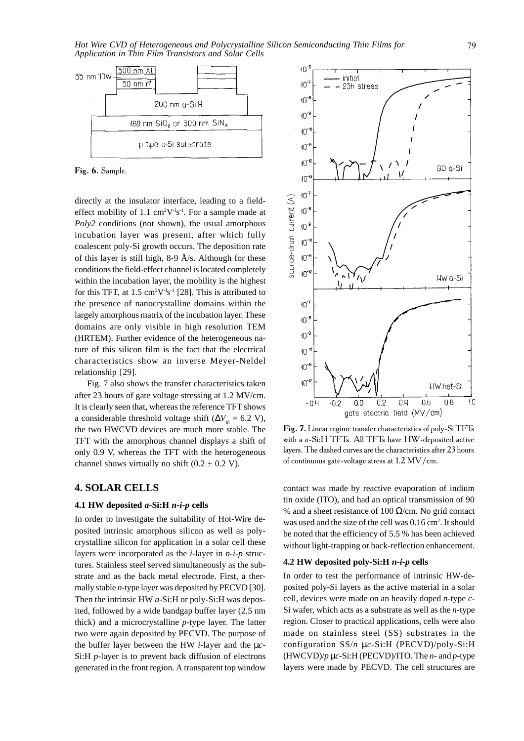

Fig. 6. Sample.

directly at the insulator interface, leading to a fieldeffect mobility of 1.1 cm<sup>2</sup>V<sup>-1</sup>s<sup>-1</sup>. For a sample made at *Poly2* conditions (not shown), the usual amorphous incubation layer was present, after which fully coalescent poly-Si growth occurs. The deposition rate of this layer is still high, 8-9 Å/s. Although for these conditions the field-effect channel is located completely within the incubation layer, the mobility is the highest for this TFT, at  $1.5 \text{ cm}^2\text{V}^1\text{s}^1$  [28]. This is attributed to the presence of nanocrystalline domains within the largely amorphous matrix of the incubation layer. These domains are only visible in high resolution TEM (HRTEM). Further evidence of the heterogeneous nature of this silicon film is the fact that the electrical characteristics show an inverse Meyer-Neldel relationship [29].

Fig. 7 also shows the transfer characteristics taken after 23 hours of gate voltage stressing at 1.2 MV/cm. It is clearly seen that, whereas the reference TFT shows a considerable threshold voltage shift ( $\Delta V_h$  = 6.2 V), the two HWCVD devices are much more stable. The TFT with the amorphous channel displays a shift of only 0.9 V, whereas the TFT with the heterogeneous channel shows virtually no shift  $(0.2 \pm 0.2 \text{ V})$ .

## **4. SOLAR CELLS**

#### **4.1 HW deposited** *a***-Si:H** *n-i-p* **cells**

In order to investigate the suitability of Hot-Wire deposited intrinsic amorphous silicon as well as polycrystalline silicon for application in a solar cell these layers were incorporated as the *i*-layer in *n-i-p* structures. Stainless steel served simultaneously as the substrate and as the back metal electrode. First, a thermally stable *n*-type layer was deposited by PECVD [30]. Then the intrinsic HW *a*-Si:H or poly-Si:H was deposited, followed by a wide bandgap buffer layer (2.5 nm thick) and a microcrystalline *p*-type layer. The latter two were again deposited by PECVD. The purpose of the buffer layer between the HW *i*-layer and the µ*c*-Si:H *p*-layer is to prevent back diffusion of electrons generated in the front region. A transparent top window



Fig. 7. Linear regime transfer characteristics of poly-Si TFTs with a a-Si:H TFTs. All TFTs have HW-deposited active layers. The dashed curves are the characteristics after 23 hours of continuous gate-voltage stress at 1.2  $\rm{MV/cm}.$ 

contact was made by reactive evaporation of indium tin oxide (ITO), and had an optical transmission of 90 % and a sheet resistance of 100  $\Omega$ /cm. No grid contact was used and the size of the cell was 0.16 cm<sup>2</sup>. It should be noted that the efficiency of 5.5 % has been achieved without light-trapping or back-reflection enhancement.

#### **4.2 HW deposited poly-Si:H** *n-i-p* **cells**

In order to test the performance of intrinsic HW-deposited poly-Si layers as the active material in a solar cell, devices were made on an heavily doped *n*-type *c*-Si wafer, which acts as a substrate as well as the *n*-type region. Closer to practical applications, cells were also made on stainless steel (SS) substrates in the configuration SS/*n* µ*c*-Si:H (PECVD)/poly-Si:H (HWCVD)/*p* µ*c*-Si:H (PECVD)/ITO. The *n*- and *p*-type layers were made by PECVD. The cell structures are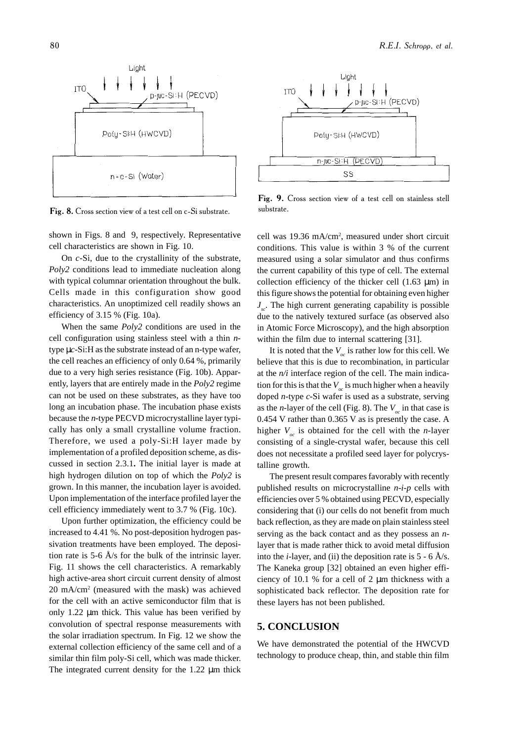

Fig. 8. Cross section view of a test cell on c-Si substrate.

shown in Figs. 8 and 9, respectively. Representative cell characteristics are shown in Fig. 10.

On *c*-Si, due to the crystallinity of the substrate, *Poly2* conditions lead to immediate nucleation along with typical columnar orientation throughout the bulk. Cells made in this configuration show good characteristics. An unoptimized cell readily shows an efficiency of 3.15 % (Fig. 10a).

When the same *Poly2* conditions are used in the cell configuration using stainless steel with a thin *n*type µ*c*-Si:H as the substrate instead of an n-type wafer, the cell reaches an efficiency of only 0.64 %, primarily due to a very high series resistance (Fig. 10b). Apparently, layers that are entirely made in the *Poly2* regime can not be used on these substrates, as they have too long an incubation phase. The incubation phase exists because the *n*-type PECVD microcrystalline layer typically has only a small crystalline volume fraction. Therefore, we used a poly-Si:H layer made by implementation of a profiled deposition scheme, as discussed in section 2.3.1**.** The initial layer is made at high hydrogen dilution on top of which the *Poly2* is grown. In this manner, the incubation layer is avoided. Upon implementation of the interface profiled layer the cell efficiency immediately went to 3.7 % (Fig. 10c).

Upon further optimization, the efficiency could be increased to 4.41 %. No post-deposition hydrogen passivation treatments have been employed. The deposition rate is 5-6  $A/s$  for the bulk of the intrinsic layer. Fig. 11 shows the cell characteristics. A remarkably high active-area short circuit current density of almost 20 mA/cm2 (measured with the mask) was achieved for the cell with an active semiconductor film that is only 1.22 µm thick. This value has been verified by convolution of spectral response measurements with the solar irradiation spectrum. In Fig. 12 we show the external collection efficiency of the same cell and of a similar thin film poly-Si cell, which was made thicker. The integrated current density for the 1.22  $\mu$ m thick



Fig. 9. Cross section view of a test cell on stainless stell substrate.

cell was 19.36 mA/cm2 , measured under short circuit conditions. This value is within 3 % of the current measured using a solar simulator and thus confirms the current capability of this type of cell. The external collection efficiency of the thicker cell  $(1.63 \mu m)$  in this figure shows the potential for obtaining even higher *J*. The high current generating capability is possible due to the natively textured surface (as observed also in Atomic Force Microscopy), and the high absorption within the film due to internal scattering [31].

It is noted that the  $V_{\infty}$  is rather low for this cell. We believe that this is due to recombination, in particular at the *n/i* interface region of the cell. The main indication for this is that the  $V_{\alpha}$  is much higher when a heavily doped *n-*type *c*-Si wafer is used as a substrate, serving as the *n*-layer of the cell (Fig. 8). The  $V_{ac}$  in that case is 0.454 V rather than 0.365 V as is presently the case. A higher  $V_{oc}$  is obtained for the cell with the *n*-layer consisting of a single-crystal wafer, because this cell does not necessitate a profiled seed layer for polycrystalline growth.

The present result compares favorably with recently published results on microcrystalline *n-i-p* cells with efficiencies over 5 % obtained using PECVD, especially considering that (i) our cells do not benefit from much back reflection, as they are made on plain stainless steel serving as the back contact and as they possess an *n*layer that is made rather thick to avoid metal diffusion into the *i*-layer, and (ii) the deposition rate is  $5 - 6$  Å/s. The Kaneka group [32] obtained an even higher efficiency of 10.1 % for a cell of 2 µm thickness with a sophisticated back reflector. The deposition rate for these layers has not been published.

#### **5. CONCLUSION**

We have demonstrated the potential of the HWCVD technology to produce cheap, thin, and stable thin film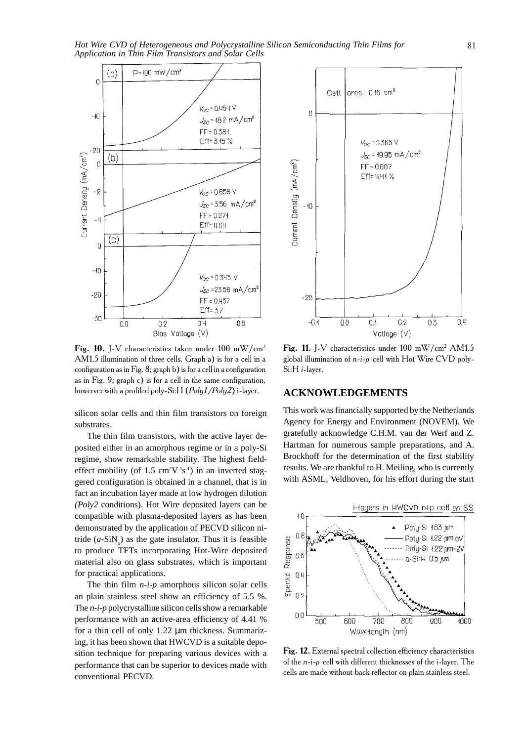*Hot Wire CVD of Heterogeneous and Polycrystalline Silicon Semiconducting Thin Films for Application in Thin Film Transistors and Solar Cells*



Fig. 10. J-V characteristics taken under 100 mW/cm<sup>2</sup> AM1.5 illumination of three cells. Graph a) is for a cell in a configuration as in Fig. 8; graph b) is for a cell in a configuration as in Fig. 9; graph c) is for a cell in the same configuration, howerver with a profiled poly-Si:H ( $Poly1/Poly2$ ) i

silicon solar cells and thin film transistors on foreign substrates.

The thin film transistors, with the active layer deposited either in an amorphous regime or in a poly-Si regime, show remarkable stability. The highest fieldeffect mobility (of  $1.5 \text{ cm}^2\text{V}^{-1}\text{s}^{-1}$ ) in an inverted staggered configuration is obtained in a channel, that is in fact an incubation layer made at low hydrogen dilution *(Poly2* conditions). Hot Wire deposited layers can be compatible with plasma-deposited layers as has been demonstrated by the application of PECVD silicon nitride  $(a-SiN_x)$  as the gate insulator. Thus it is feasible to produce TFTs incorporating Hot-Wire deposited material also on glass substrates, which is important for practical applications.

The thin film *n-i-p* amorphous silicon solar cells an plain stainless steel show an efficiency of 5.5 %. The *n-i-p* polycrystalline silicon cells show a remarkable performance with an active-area efficiency of 4.41 % for a thin cell of only 1.22 µm thickness. Summarizing, it has been shown that HWCVD is a suitable deposition technique for preparing various devices with a performance that can be superior to devices made with conventional PECVD.



Fig. 11. J-V characteristics under 100 mW/cm<sup>2</sup> AM1.5 global illumination of  $n-i$ - $\rho$  cell with Hot Wire CVD poly-Si:H i-layer.

## **ACKNOWLEDGEMENTS**

This work was financially supported by the Netherlands Agency for Energy and Environment (NOVEM). We gratefully acknowledge C.H.M. van der Werf and Z. Hartman for numerous sample preparations, and A. Brockhoff for the determination of the first stability results. We are thankful to H. Meiling, who is currently with ASML, Veldhoven, for his effort during the start



Fig. 12. External spectral collection efficiency characteristics of the  $n-i$ - $\rho$  cell with different thicknesses of the *i*-layer. The cells are made without back reflector on plain stainless steel.